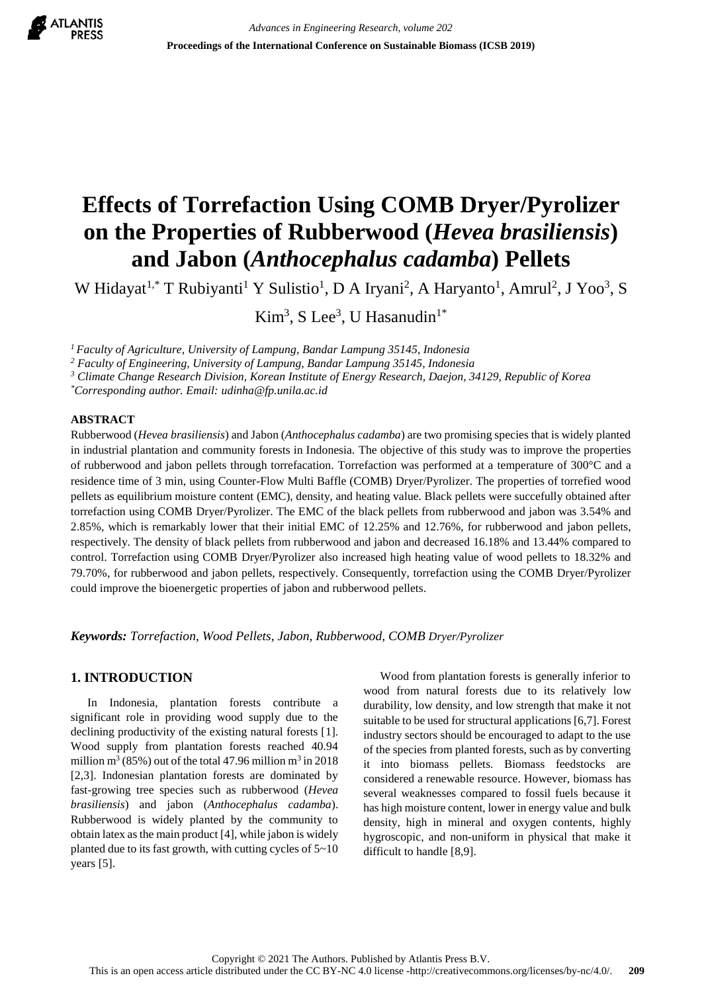

# **Effects of Torrefaction Using COMB Dryer/Pyrolizer on the Properties of Rubberwood (***Hevea brasiliensis***) and Jabon (***Anthocephalus cadamba***) Pellets**

W Hidayat<sup>1,\*</sup> T Rubiyanti<sup>1</sup> Y Sulistio<sup>1</sup>, D A Iryani<sup>2</sup>, A Haryanto<sup>1</sup>, Amrul<sup>2</sup>, J Yoo<sup>3</sup>, S

 $Kim<sup>3</sup>, S Lee<sup>3</sup>, U Hasanudin<sup>1*</sup>$ 

*<sup>1</sup>Faculty of Agriculture, University of Lampung, Bandar Lampung 35145, Indonesia*

*<sup>2</sup> Faculty of Engineering, University of Lampung, Bandar Lampung 35145, Indonesia*

*<sup>3</sup> Climate Change Research Division, Korean Institute of Energy Research, Daejon, 34129, Republic of Korea*

*\*Corresponding author. Email: udinha@fp.unila.ac.id*

## **ABSTRACT**

Rubberwood (*Hevea brasiliensis*) and Jabon (*Anthocephalus cadamba*) are two promising species that is widely planted in industrial plantation and community forests in Indonesia. The objective of this study was to improve the properties of rubberwood and jabon pellets through torrefacation. Torrefaction was performed at a temperature of 300°C and a residence time of 3 min, using Counter-Flow Multi Baffle (COMB) Dryer/Pyrolizer. The properties of torrefied wood pellets as equilibrium moisture content (EMC), density, and heating value. Black pellets were succefully obtained after torrefaction using COMB Dryer/Pyrolizer. The EMC of the black pellets from rubberwood and jabon was 3.54% and 2.85%, which is remarkably lower that their initial EMC of 12.25% and 12.76%, for rubberwood and jabon pellets, respectively. The density of black pellets from rubberwood and jabon and decreased 16.18% and 13.44% compared to control. Torrefaction using COMB Dryer/Pyrolizer also increased high heating value of wood pellets to 18.32% and 79.70%, for rubberwood and jabon pellets, respectively. Consequently, torrefaction using the COMB Dryer/Pyrolizer could improve the bioenergetic properties of jabon and rubberwood pellets.

*Keywords: Torrefaction, Wood Pellets, Jabon, Rubberwood, COMB Dryer/Pyrolizer*

## **1. INTRODUCTION**

In Indonesia, plantation forests contribute a significant role in providing wood supply due to the declining productivity of the existing natural forests [1]. Wood supply from plantation forests reached 40.94 million m<sup>3</sup> (85%) out of the total 47.96 million m<sup>3</sup> in 2018 [2,3]. Indonesian plantation forests are dominated by fast-growing tree species such as rubberwood (*Hevea brasiliensis*) and jabon (*Anthocephalus cadamba*). Rubberwood is widely planted by the community to obtain latex as the main product [4], while jabon is widely planted due to its fast growth, with cutting cycles of 5~10 years [5].

Wood from plantation forests is generally inferior to wood from natural forests due to its relatively low durability, low density, and low strength that make it not suitable to be used for structural applications [6,7]. Forest industry sectors should be encouraged to adapt to the use of the species from planted forests, such as by converting it into biomass pellets. Biomass feedstocks are considered a renewable resource. However, biomass has several weaknesses compared to fossil fuels because it has high moisture content, lower in energy value and bulk density, high in mineral and oxygen contents, highly hygroscopic, and non-uniform in physical that make it difficult to handle [8,9].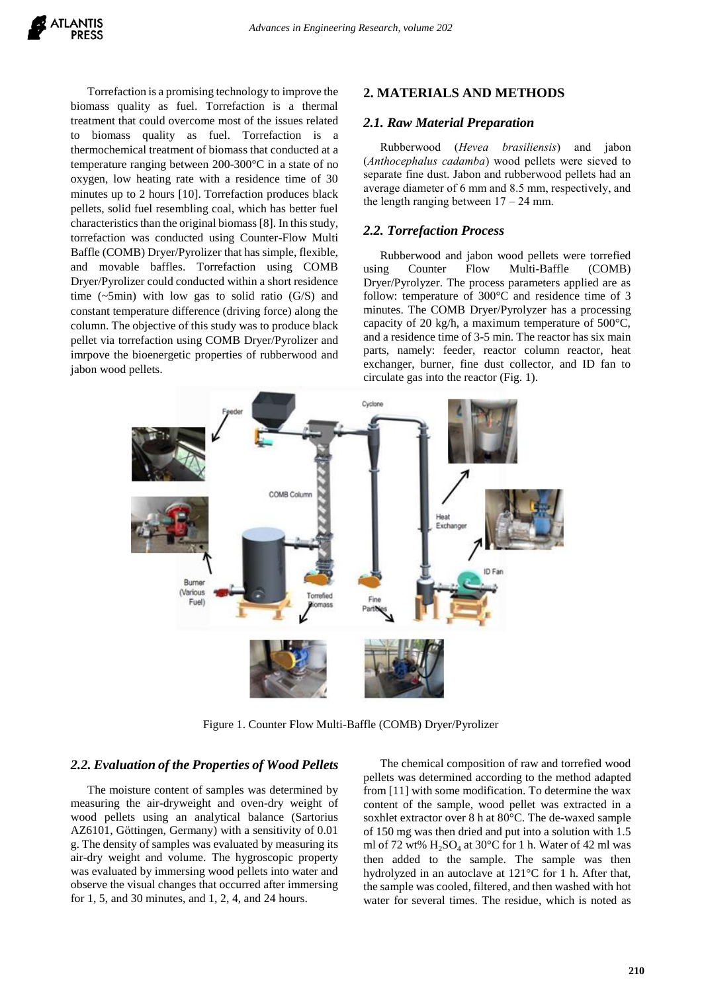Torrefaction is a promising technology to improve the biomass quality as fuel. Torrefaction is a thermal treatment that could overcome most of the issues related to biomass quality as fuel. Torrefaction is a thermochemical treatment of biomass that conducted at a temperature ranging between 200-300°C in a state of no oxygen, low heating rate with a residence time of 30 minutes up to 2 hours [10]. Torrefaction produces black pellets, solid fuel resembling coal, which has better fuel characteristics than the original biomass [8]. In this study, torrefaction was conducted using Counter-Flow Multi Baffle (COMB) Dryer/Pyrolizer that has simple, flexible, and movable baffles. Torrefaction using COMB Dryer/Pyrolizer could conducted within a short residence time  $(-5\text{min})$  with low gas to solid ratio  $(G/S)$  and constant temperature difference (driving force) along the column. The objective of this study was to produce black pellet via torrefaction using COMB Dryer/Pyrolizer and imrpove the bioenergetic properties of rubberwood and jabon wood pellets.

### **2. MATERIALS AND METHODS**

#### *2.1. Raw Material Preparation*

Rubberwood (*Hevea brasiliensis*) and jabon (*Anthocephalus cadamba*) wood pellets were sieved to separate fine dust. Jabon and rubberwood pellets had an average diameter of 6 mm and 8.5 mm, respectively, and the length ranging between  $17 - 24$  mm.

#### *2.2. Torrefaction Process*

Rubberwood and jabon wood pellets were torrefied using Counter Flow Multi-Baffle (COMB) Dryer/Pyrolyzer. The process parameters applied are as follow: temperature of 300°C and residence time of 3 minutes. The COMB Dryer/Pyrolyzer has a processing capacity of 20 kg/h, a maximum temperature of 500°C, and a residence time of 3-5 min. The reactor has six main parts, namely: feeder, reactor column reactor, heat exchanger, burner, fine dust collector, and ID fan to circulate gas into the reactor (Fig. 1).



Figure 1. Counter Flow Multi-Baffle (COMB) Dryer/Pyrolizer

#### *2.2. Evaluation of the Properties of Wood Pellets*

The moisture content of samples was determined by measuring the air-dryweight and oven-dry weight of wood pellets using an analytical balance (Sartorius AZ6101, Göttingen, Germany) with a sensitivity of 0.01 g. The density of samples was evaluated by measuring its air-dry weight and volume. The hygroscopic property was evaluated by immersing wood pellets into water and observe the visual changes that occurred after immersing for 1, 5, and 30 minutes, and 1, 2, 4, and 24 hours.

The chemical composition of raw and torrefied wood pellets was determined according to the method adapted from [11] with some modification. To determine the wax content of the sample, wood pellet was extracted in a soxhlet extractor over 8 h at 80°C. The de-waxed sample of 150 mg was then dried and put into a solution with 1.5 ml of 72 wt%  $H_2SO_4$  at 30°C for 1 h. Water of 42 ml was then added to the sample. The sample was then hydrolyzed in an autoclave at 121°C for 1 h. After that, the sample was cooled, filtered, and then washed with hot water for several times. The residue, which is noted as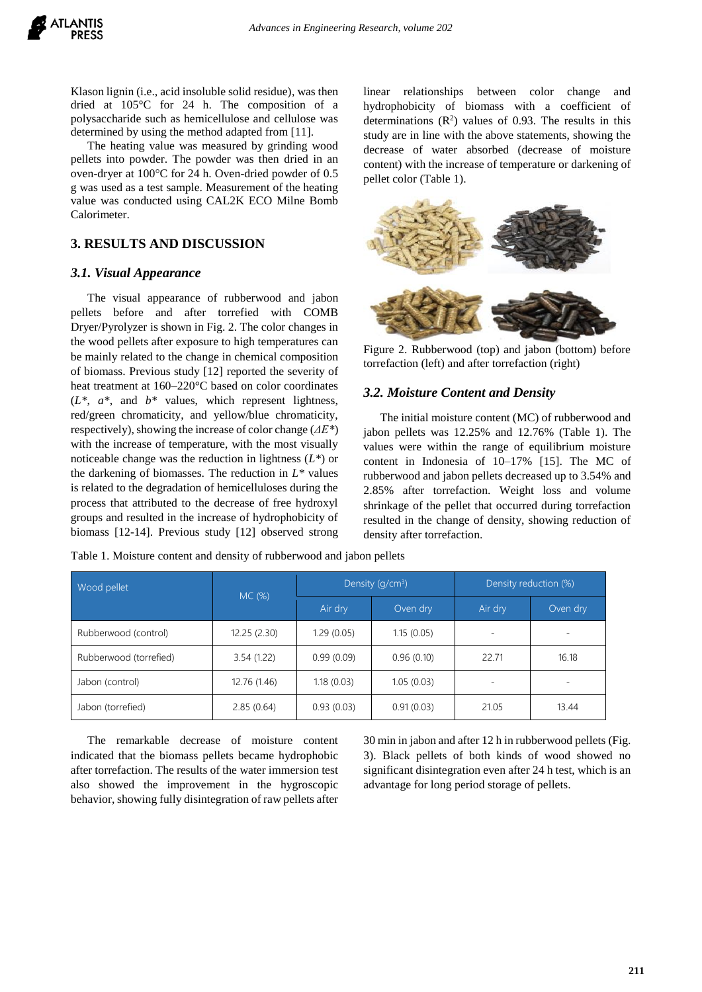

Klason lignin (i.e., acid insoluble solid residue), was then dried at 105°C for 24 h. The composition of a polysaccharide such as hemicellulose and cellulose was determined by using the method adapted from [11].

The heating value was measured by grinding wood pellets into powder. The powder was then dried in an oven-dryer at 100°C for 24 h. Oven-dried powder of 0.5 g was used as a test sample. Measurement of the heating value was conducted using CAL2K ECO Milne Bomb Calorimeter.

## **3. RESULTS AND DISCUSSION**

#### *3.1. Visual Appearance*

The visual appearance of rubberwood and jabon pellets before and after torrefied with COMB Dryer/Pyrolyzer is shown in Fig. 2. The color changes in the wood pellets after exposure to high temperatures can be mainly related to the change in chemical composition of biomass. Previous study [12] reported the severity of heat treatment at 160–220°C based on color coordinates (*L\**, *a\**, and *b\** values, which represent lightness, red/green chromaticity, and yellow/blue chromaticity, respectively), showing the increase of color change (*ΔE\**) with the increase of temperature, with the most visually noticeable change was the reduction in lightness (*L\**) or the darkening of biomasses. The reduction in *L\** values is related to the degradation of hemicelluloses during the process that attributed to the decrease of free hydroxyl groups and resulted in the increase of hydrophobicity of biomass [12-14]. Previous study [12] observed strong linear relationships between color change and hydrophobicity of biomass with a coefficient of determinations  $(R^2)$  values of 0.93. The results in this study are in line with the above statements, showing the decrease of water absorbed (decrease of moisture content) with the increase of temperature or darkening of pellet color (Table 1).



Figure 2. Rubberwood (top) and jabon (bottom) before torrefaction (left) and after torrefaction (right)

## *3.2. Moisture Content and Density*

The initial moisture content (MC) of rubberwood and jabon pellets was 12.25% and 12.76% (Table 1). The values were within the range of equilibrium moisture content in Indonesia of 10–17% [15]. The MC of rubberwood and jabon pellets decreased up to 3.54% and 2.85% after torrefaction. Weight loss and volume shrinkage of the pellet that occurred during torrefaction resulted in the change of density, showing reduction of density after torrefaction.

| Wood pellet            | MC (%)       | Density $(q/cm3)$ |            | Density reduction (%) |          |
|------------------------|--------------|-------------------|------------|-----------------------|----------|
|                        |              | Air dry           | Oven dry   | Air dry               | Oven dry |
| Rubberwood (control)   | 12.25(2.30)  | 1.29(0.05)        | 1.15(0.05) |                       |          |
| Rubberwood (torrefied) | 3.54(1.22)   | 0.99(0.09)        | 0.96(0.10) | 22.71                 | 16.18    |
| Jabon (control)        | 12.76 (1.46) | 1.18(0.03)        | 1.05(0.03) |                       |          |
| Jabon (torrefied)      | 2.85(0.64)   | 0.93(0.03)        | 0.91(0.03) | 21.05                 | 13.44    |

Table 1. Moisture content and density of rubberwood and jabon pellets

The remarkable decrease of moisture content indicated that the biomass pellets became hydrophobic after torrefaction. The results of the water immersion test also showed the improvement in the hygroscopic behavior, showing fully disintegration of raw pellets after 30 min in jabon and after 12 h in rubberwood pellets (Fig. 3). Black pellets of both kinds of wood showed no significant disintegration even after 24 h test, which is an advantage for long period storage of pellets.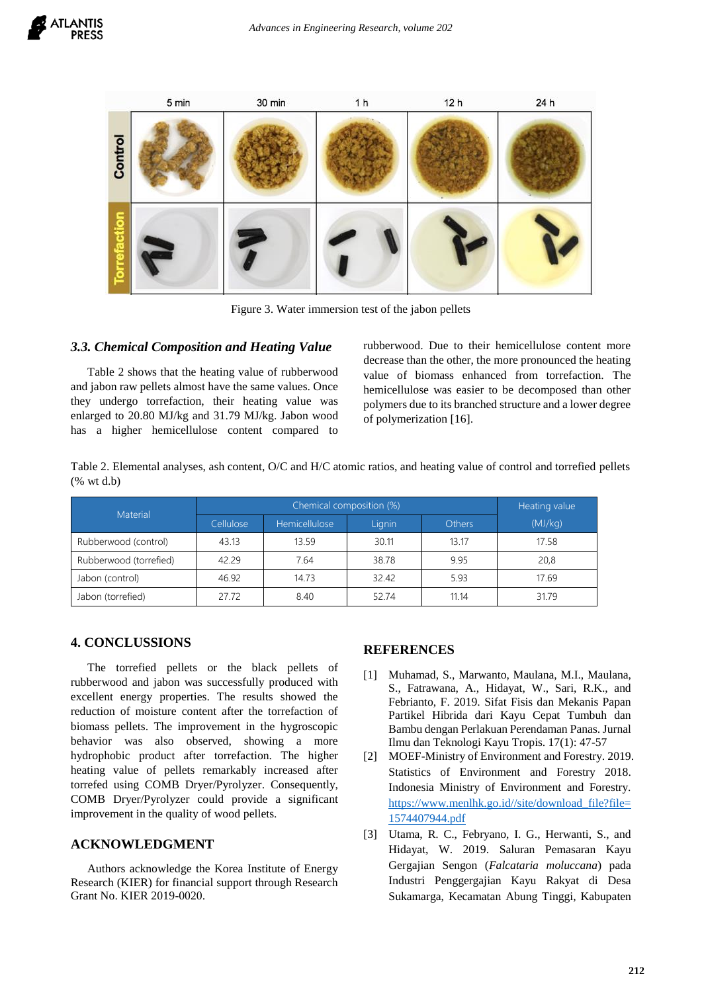



Figure 3. Water immersion test of the jabon pellets

#### *3.3. Chemical Composition and Heating Value*

Table 2 shows that the heating value of rubberwood and jabon raw pellets almost have the same values. Once they undergo torrefaction, their heating value was enlarged to 20.80 MJ/kg and 31.79 MJ/kg. Jabon wood has a higher hemicellulose content compared to rubberwood. Due to their hemicellulose content more decrease than the other, the more pronounced the heating value of biomass enhanced from torrefaction. The hemicellulose was easier to be decomposed than other polymers due to its branched structure and a lower degree of polymerization [16].

Table 2. Elemental analyses, ash content, O/C and H/C atomic ratios, and heating value of control and torrefied pellets (% wt d.b)

| Material               |           | Heating value |        |               |         |
|------------------------|-----------|---------------|--------|---------------|---------|
|                        | Cellulose | Hemicellulose | Lignin | <b>Others</b> | (MJ/kg) |
| Rubberwood (control)   | 43.13     | 13.59         | 30.11  | 13.17         | 17.58   |
| Rubberwood (torrefied) | 42.29     | 7.64          | 38.78  | 9.95          | 20,8    |
| Jabon (control)        | 46.92     | 14.73         | 32.42  | 5.93          | 17.69   |
| Jabon (torrefied)      | 27.72     | 8.40          | 52.74  | 11.14         | 31.79   |

## **4. CONCLUSSIONS**

The torrefied pellets or the black pellets of rubberwood and jabon was successfully produced with excellent energy properties. The results showed the reduction of moisture content after the torrefaction of biomass pellets. The improvement in the hygroscopic behavior was also observed, showing a more hydrophobic product after torrefaction. The higher heating value of pellets remarkably increased after torrefed using COMB Dryer/Pyrolyzer. Consequently, COMB Dryer/Pyrolyzer could provide a significant improvement in the quality of wood pellets.

## **ACKNOWLEDGMENT**

Authors acknowledge the Korea Institute of Energy Research (KIER) for financial support through Research Grant No. KIER 2019-0020.

# **REFERENCES**

- [1] Muhamad, S., Marwanto, Maulana, M.I., Maulana, S., Fatrawana, A., Hidayat, W., Sari, R.K., and Febrianto, F. 2019. Sifat Fisis dan Mekanis Papan Partikel Hibrida dari Kayu Cepat Tumbuh dan Bambu dengan Perlakuan Perendaman Panas. Jurnal Ilmu dan Teknologi Kayu Tropis. 17(1): 47-57
- [2] MOEF-Ministry of Environment and Forestry. 2019. Statistics of Environment and Forestry 2018. Indonesia Ministry of Environment and Forestry. [https://www.menlhk.go.id//site/download\\_file?file=](https://www.menlhk.go.id/site/download_file?file=1574407944.pdf) [1574407944.pdf](https://www.menlhk.go.id/site/download_file?file=1574407944.pdf)
- [3] Utama, R. C., Febryano, I. G., Herwanti, S., and Hidayat, W. 2019. Saluran Pemasaran Kayu Gergajian Sengon (*Falcataria moluccana*) pada Industri Penggergajian Kayu Rakyat di Desa Sukamarga, Kecamatan Abung Tinggi, Kabupaten